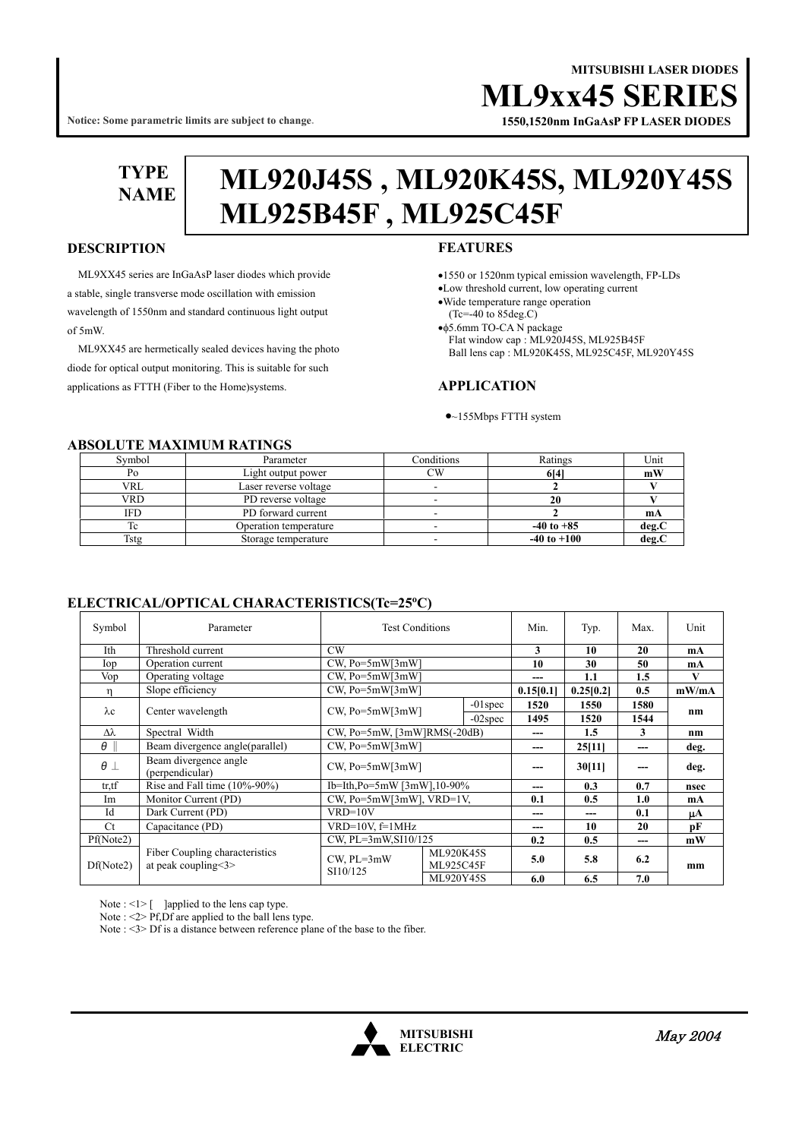# **MITSUBISHI LASER DIODES ML9xx45 SERI**

**Notice: Some parametric limits are subject to change.**

# **1550,1520nm InGaAsP FP LASER DIODES**

**TYPE** 

# **NAME ML920J45S , ML920K45S, ML920Y45S ML925B45F , ML925C45F**

## **DESCRIPTION**

ML9XX45 series are InGaAsP laser diodes which provide a stable, single transverse mode oscillation with emission wavelength of 1550nm and standard continuous light output of 5mW.

 ML9XX45 are hermetically sealed devices having the photo diode for optical output monitoring. This is suitable for such applications as FTTH (Fiber to the Home)systems.

## **FEATURES**

- •1550 or 1520nm typical emission wavelength, FP-LDs
- •Low threshold current, low operating current
- •Wide temperature range operation
- (Tc=-40 to 85deg.C)

•φ5.6mm TO-CA N package Flat window cap : ML920J45S, ML925B45F Ball lens cap : ML920K45S, ML925C45F, ML920Y45S

#### **APPLICATION**

•~155Mbps FTTH system

#### **ABSOLUTE MAXIMUM RATINGS**

| Symbol     | Parameter             | Conditions | Ratings         | Unit  |  |  |  |  |  |  |
|------------|-----------------------|------------|-----------------|-------|--|--|--|--|--|--|
| Po         | Light output power    | CW         | 614             | mW    |  |  |  |  |  |  |
| <b>VRL</b> | Laser reverse voltage |            |                 |       |  |  |  |  |  |  |
| VRD        | PD reverse voltage    |            |                 |       |  |  |  |  |  |  |
| IFD        | PD forward current    |            |                 | mА    |  |  |  |  |  |  |
| Tc         | Operation temperature |            | $-40$ to $+85$  | deg.C |  |  |  |  |  |  |
| Tstg       | Storage temperature   |            | $-40$ to $+100$ | deg.  |  |  |  |  |  |  |

### **ELECTRICAL/OPTICAL CHARACTERISTICS(Tc=25<sup>o</sup> C)**

| Symbol                 | Parameter                                               | <b>Test Conditions</b>             |                               | Min.       | Typ.         | Max.      | Unit    |       |
|------------------------|---------------------------------------------------------|------------------------------------|-------------------------------|------------|--------------|-----------|---------|-------|
| Ith                    | Threshold current                                       | CW                                 |                               |            | 3            | 10        | 20      | mA    |
| Iop                    | Operation current                                       | $CW$ , Po=5mW[3mW]                 |                               |            | 10           | 30        | 50      | mA    |
| Vop                    | Operating voltage                                       | $CW$ , $Po = 5mW[3mW]$             |                               |            | ---          | 1.1       | 1.5     | V     |
| n                      | Slope efficiency                                        | $CW$ , $Po = 5mW[3mW]$             |                               |            | 0.15[0.1]    | 0.25[0.2] | 0.5     | mW/mA |
|                        |                                                         | $CW$ , $Po = 5mW[3mW]$             |                               | $-01$ spec | 1520<br>1550 |           | 1580    | nm    |
| $\lambda c$            | Center wavelength                                       |                                    |                               | $-02$ spec | 1495         | 1520      | 1544    |       |
| Δλ                     | $CW$ , Po=5mW, [3mW]RMS(-20dB)<br>Spectral Width        |                                    |                               | ---        | 1.5          | 3         | $n_{m}$ |       |
| θ                      | Beam divergence angle (parallel)                        | CW. Po=5mW[3mW]                    |                               |            | ---          | 25[11]    | ---     | deg.  |
| $\theta$ $\perp$       | Beam divergence angle<br>(perpendicular)                | $CW$ , Po=5mW[3mW]                 |                               |            | ---          | 30[11]    | ---     | deg.  |
| tr,tf                  | Rise and Fall time $(10\% - 90\%)$                      | Ib=Ith,Po=5mW [3mW],10-90%         |                               | ---        | 0.3          | 0.7       | nsec    |       |
| Im                     | Monitor Current (PD)                                    | CW, $Po = 5mW[3mW]$ , $VRD = 1V$ , |                               | 0.1        | 0.5          | 1.0       | mA      |       |
| Id                     | Dark Current (PD)                                       | $VRD=10V$                          |                               |            | ---          | ---       | 0.1     | μA    |
| Ct<br>Capacitance (PD) |                                                         | $VRD=10V$ , $f=1MHz$               |                               |            | ---          | 10        | 20      | pF    |
| Pf(Note2)              |                                                         | $CW$ , $PL = 3mW$ , $SI10/125$     |                               | 0.2        | 0.5          | ---       | mW      |       |
| Df(Note2)              | Fiber Coupling characteristics<br>at peak coupling < 3> | $CW$ , $PL=3mW$<br>SI10/125        | <b>ML920K45S</b><br>ML925C45F |            | 5.0          | 5.8       | 6.2     | mm    |
|                        |                                                         |                                    | ML920Y45S                     |            | 6.0          | 6.5       | 7.0     |       |

Note : <1> [ ]applied to the lens cap type.

Note :  $\leq$  > Pf, Df are applied to the ball lens type.

Note : <3> Df is a distance between reference plane of the base to the fiber.

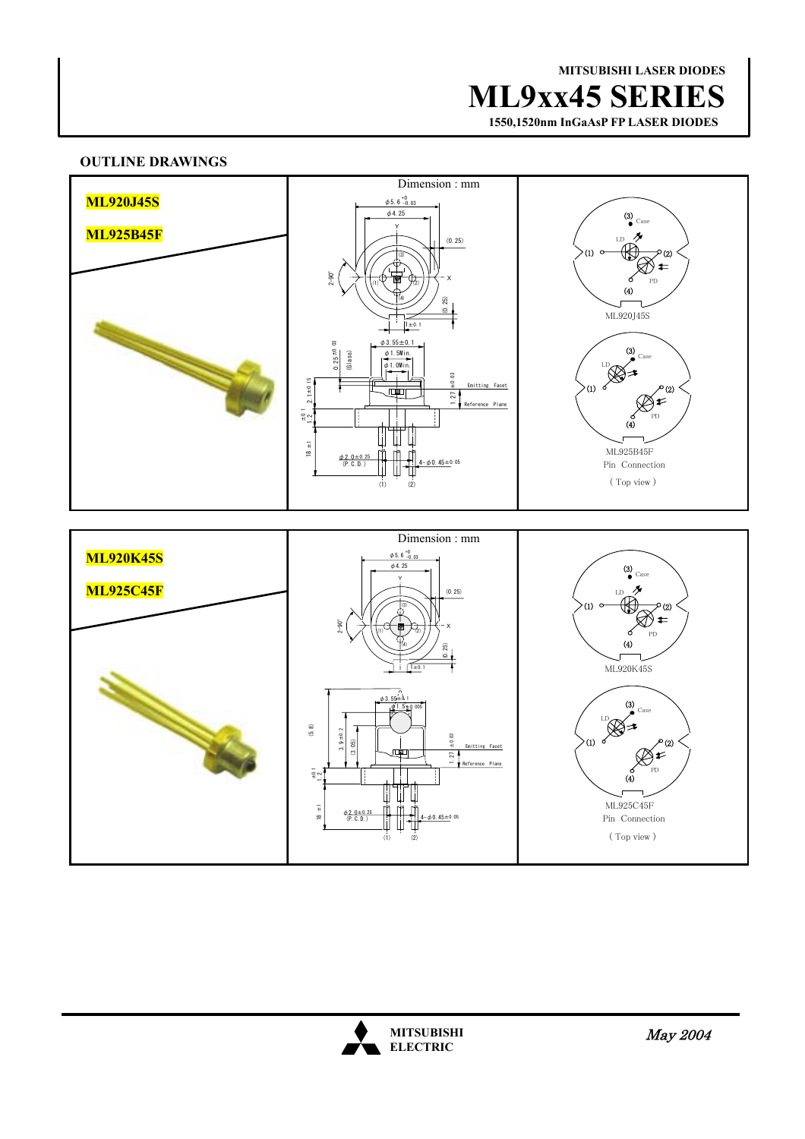**MITSUBISHI LASER DIODES ML9xx45 SERIES**

 **1550,1520nm InGaAsP FP LASER DIODES**

# **OUTLINE DRAWINGS**